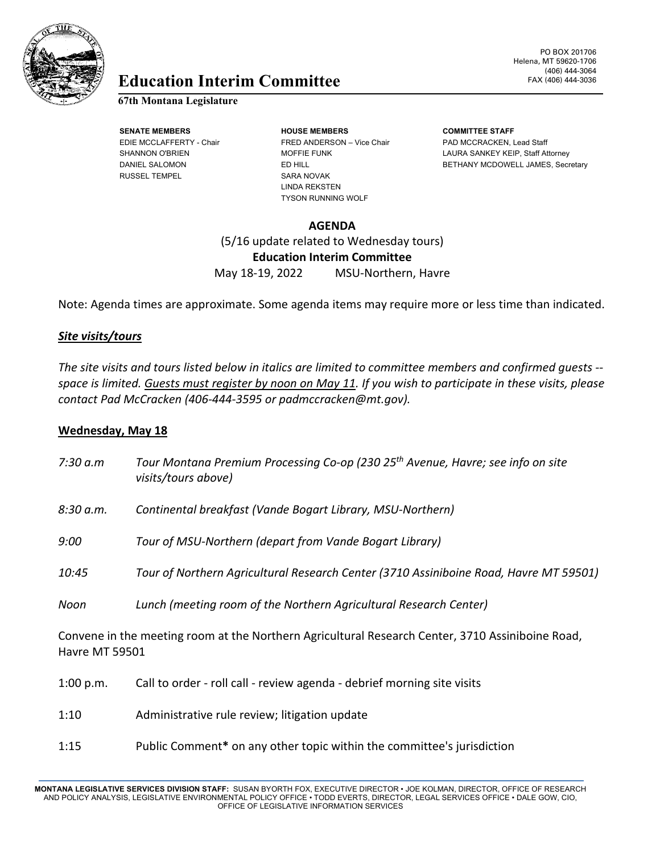

# Education Interim Committee FAX (406) 444-3036

## **67th Montana Legislature**

RUSSEL TEMPEL SARA NOVAK

**SENATE MEMBERS HOUSE MEMBERS COMMITTEE STAFF** EDIE MCCLAFFERTY - Chair FRED ANDERSON – Vice Chair PAD MCCRACKEN, Lead Staff LINDA REKSTEN TYSON RUNNING WOLF

PO BOX 201706 Helena, MT 59620-1706 (406) 444-3064

SHANNON O'BRIEN MOFFIE FUNK LAURA SANKEY KEIP, Staff Attorney DANIEL SALOMON ED HILL ED HILL BETHANY MCDOWELL JAMES, Secretary

# **AGENDA**

(5/16 update related to Wednesday tours) **Education Interim Committee** May 18-19, 2022 MSU-Northern, Havre

Note: Agenda times are approximate. Some agenda items may require more or less time than indicated.

## *Site visits/tours*

*The site visits and tours listed below in italics are limited to committee members and confirmed guests - space is limited. Guests must register by noon on May 11. If you wish to participate in these visits, please contact Pad McCracken (406-444-3595 or padmccracken@mt.gov).*

### **Wednesday, May 18**

| 7:30 a.m                                                                                                                  | Tour Montana Premium Processing Co-op (230 25 <sup>th</sup> Avenue, Havre; see info on site<br>visits/tours above) |
|---------------------------------------------------------------------------------------------------------------------------|--------------------------------------------------------------------------------------------------------------------|
| 8:30 a.m.                                                                                                                 | Continental breakfast (Vande Bogart Library, MSU-Northern)                                                         |
| 9:00                                                                                                                      | Tour of MSU-Northern (depart from Vande Bogart Library)                                                            |
| 10:45                                                                                                                     | Tour of Northern Agricultural Research Center (3710 Assiniboine Road, Havre MT 59501)                              |
| Noon                                                                                                                      | Lunch (meeting room of the Northern Agricultural Research Center)                                                  |
| Convene in the meeting room at the Northern Agricultural Research Center, 3710 Assiniboine Road,<br><b>Havre MT 59501</b> |                                                                                                                    |
| 1:00 p.m.                                                                                                                 | Call to order - roll call - review agenda - debrief morning site visits                                            |
| 1:10                                                                                                                      | Administrative rule review; litigation update                                                                      |
| 1:15                                                                                                                      | Public Comment* on any other topic within the committee's jurisdiction                                             |

**MONTANA LEGISLATIVE SERVICES DIVISION STAFF:** SUSAN BYORTH FOX, EXECUTIVE DIRECTOR • JOE KOLMAN, DIRECTOR, OFFICE OF RESEARCH AND POLICY ANALYSIS, LEGISLATIVE ENVIRONMENTAL POLICY OFFICE • TODD EVERTS, DIRECTOR, LEGAL SERVICES OFFICE • DALE GOW, CIO, OFFICE OF LEGISLATIVE INFORMATION SERVICES